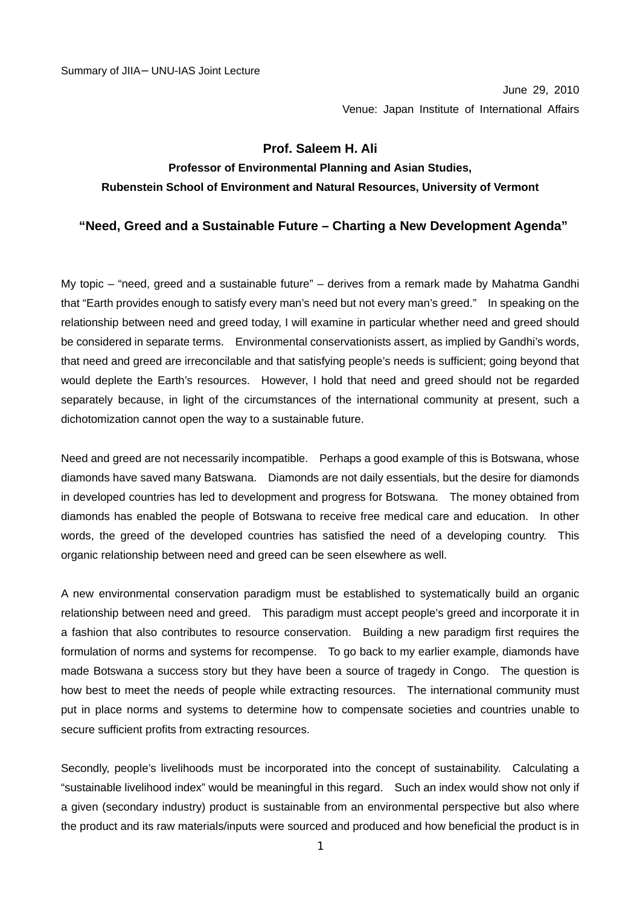June 29, 2010 Venue: Japan Institute of International Affairs

## **Prof. Saleem H. Ali**

## **Professor of Environmental Planning and Asian Studies, Rubenstein School of Environment and Natural Resources, University of Vermont**

## **"Need, Greed and a Sustainable Future – Charting a New Development Agenda"**

My topic – "need, greed and a sustainable future" – derives from a remark made by Mahatma Gandhi that "Earth provides enough to satisfy every man's need but not every man's greed." In speaking on the relationship between need and greed today, I will examine in particular whether need and greed should be considered in separate terms. Environmental conservationists assert, as implied by Gandhi's words, that need and greed are irreconcilable and that satisfying people's needs is sufficient; going beyond that would deplete the Earth's resources. However, I hold that need and greed should not be regarded separately because, in light of the circumstances of the international community at present, such a dichotomization cannot open the way to a sustainable future.

Need and greed are not necessarily incompatible. Perhaps a good example of this is Botswana, whose diamonds have saved many Batswana. Diamonds are not daily essentials, but the desire for diamonds in developed countries has led to development and progress for Botswana. The money obtained from diamonds has enabled the people of Botswana to receive free medical care and education. In other words, the greed of the developed countries has satisfied the need of a developing country. This organic relationship between need and greed can be seen elsewhere as well.

A new environmental conservation paradigm must be established to systematically build an organic relationship between need and greed. This paradigm must accept people's greed and incorporate it in a fashion that also contributes to resource conservation. Building a new paradigm first requires the formulation of norms and systems for recompense. To go back to my earlier example, diamonds have made Botswana a success story but they have been a source of tragedy in Congo. The question is how best to meet the needs of people while extracting resources. The international community must put in place norms and systems to determine how to compensate societies and countries unable to secure sufficient profits from extracting resources.

Secondly, people's livelihoods must be incorporated into the concept of sustainability. Calculating a "sustainable livelihood index" would be meaningful in this regard. Such an index would show not only if a given (secondary industry) product is sustainable from an environmental perspective but also where the product and its raw materials/inputs were sourced and produced and how beneficial the product is in